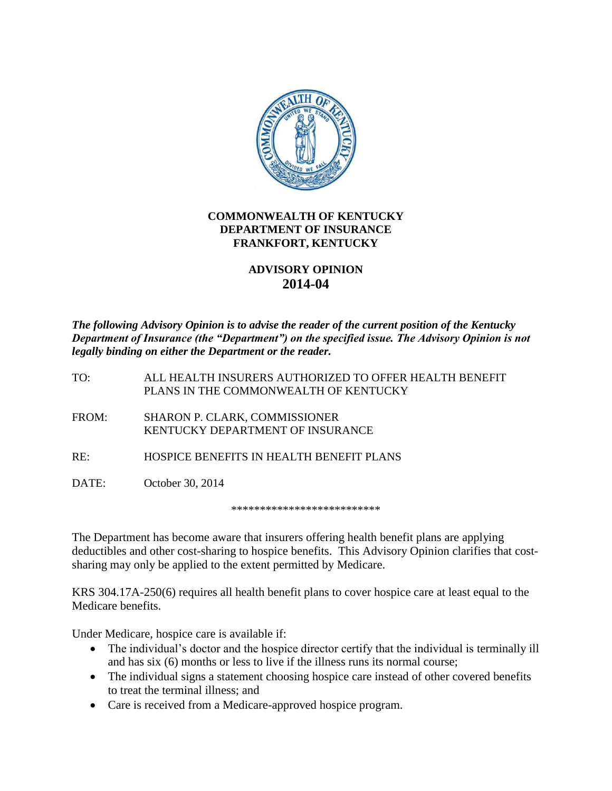

## **COMMONWEALTH OF KENTUCKY DEPARTMENT OF INSURANCE FRANKFORT, KENTUCKY**

## **ADVISORY OPINION 2014-04**

*The following Advisory Opinion is to advise the reader of the current position of the Kentucky Department of Insurance (the "Department") on the specified issue. The Advisory Opinion is not legally binding on either the Department or the reader.* 

TO: ALL HEALTH INSURERS AUTHORIZED TO OFFER HEALTH BENEFIT PLANS IN THE COMMONWEALTH OF KENTUCKY

FROM: SHARON P. CLARK, COMMISSIONER KENTUCKY DEPARTMENT OF INSURANCE

RE: HOSPICE BENEFITS IN HEALTH BENEFIT PLANS

DATE: October 30, 2014

\*\*\*\*\*\*\*\*\*\*\*\*\*\*\*\*\*\*\*\*\*\*\*\*\*\*

The Department has become aware that insurers offering health benefit plans are applying deductibles and other cost-sharing to hospice benefits. This Advisory Opinion clarifies that costsharing may only be applied to the extent permitted by Medicare.

KRS 304.17A-250(6) requires all health benefit plans to cover hospice care at least equal to the Medicare benefits.

Under Medicare, hospice care is available if:

- The individual's doctor and the hospice director certify that the individual is terminally ill and has six (6) months or less to live if the illness runs its normal course;
- The individual signs a statement choosing hospice care instead of other covered benefits to treat the terminal illness; and
- Care is received from a Medicare-approved hospice program.